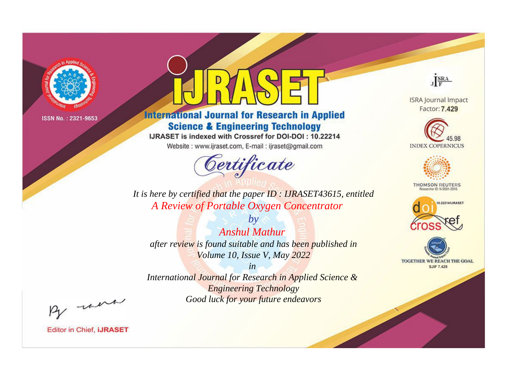

# **International Journal for Research in Applied Science & Engineering Technology**

IJRASET is indexed with Crossref for DOI-DOI: 10.22214

Website: www.ijraset.com, E-mail: ijraset@gmail.com



JERA

**ISRA Journal Impact** Factor: 7.429





**THOMSON REUTERS** 



TOGETHER WE REACH THE GOAL **SJIF 7.429** 

*It is here by certified that the paper ID : IJRASET43615, entitled A Review of Portable Oxygen Concentrator*

*Anshul Mathur after review is found suitable and has been published in Volume 10, Issue V, May 2022*

*by*

*in* 

*International Journal for Research in Applied Science & Engineering Technology Good luck for your future endeavors*

By morn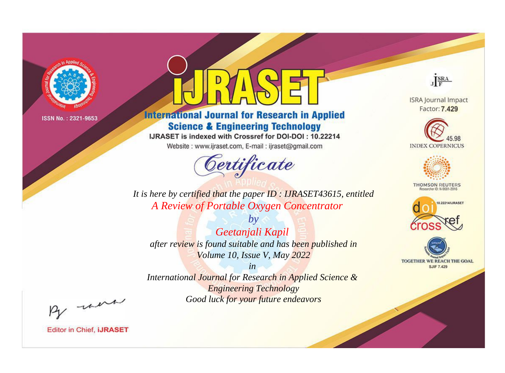

# **International Journal for Research in Applied Science & Engineering Technology**

IJRASET is indexed with Crossref for DOI-DOI: 10.22214

Website: www.ijraset.com, E-mail: ijraset@gmail.com



JERA

**ISRA Journal Impact** Factor: 7.429





**THOMSON REUTERS** 



TOGETHER WE REACH THE GOAL **SJIF 7.429** 

It is here by certified that the paper ID: IJRASET43615, entitled A Review of Portable Oxygen Concentrator

 $b\nu$ Geetanjali Kapil after review is found suitable and has been published in Volume 10, Issue V, May 2022

 $in$ International Journal for Research in Applied Science & **Engineering Technology** Good luck for your future endeavors

By morn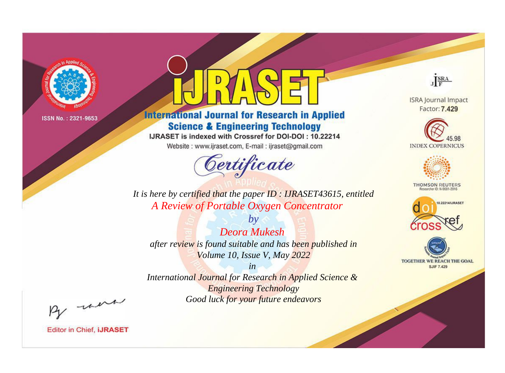

# **International Journal for Research in Applied Science & Engineering Technology**

IJRASET is indexed with Crossref for DOI-DOI: 10.22214

Website: www.ijraset.com, E-mail: ijraset@gmail.com



JERA

**ISRA Journal Impact** Factor: 7.429





**THOMSON REUTERS** 



TOGETHER WE REACH THE GOAL **SJIF 7.429** 

*It is here by certified that the paper ID : IJRASET43615, entitled A Review of Portable Oxygen Concentrator*

*Deora Mukesh after review is found suitable and has been published in Volume 10, Issue V, May 2022*

*by*

*in* 

*International Journal for Research in Applied Science & Engineering Technology Good luck for your future endeavors*

By morn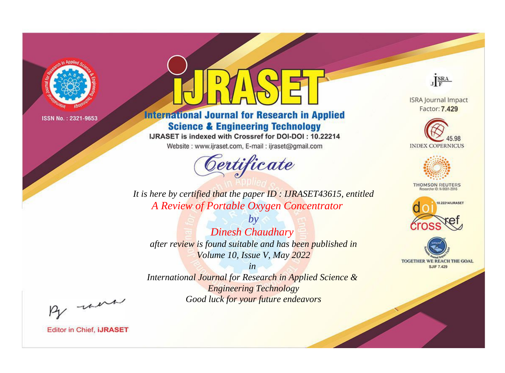

# **International Journal for Research in Applied Science & Engineering Technology**

IJRASET is indexed with Crossref for DOI-DOI: 10.22214

Website: www.ijraset.com, E-mail: ijraset@gmail.com



JERA

**ISRA Journal Impact** Factor: 7.429





**THOMSON REUTERS** 



TOGETHER WE REACH THE GOAL **SJIF 7.429** 

It is here by certified that the paper ID: IJRASET43615, entitled A Review of Portable Oxygen Concentrator

 $b\nu$ **Dinesh Chaudhary** after review is found suitable and has been published in Volume 10, Issue V, May 2022

 $in$ International Journal for Research in Applied Science & **Engineering Technology** Good luck for your future endeavors

By morn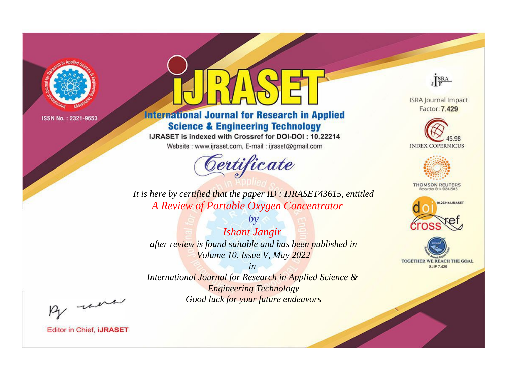

# **International Journal for Research in Applied Science & Engineering Technology**

IJRASET is indexed with Crossref for DOI-DOI: 10.22214

Website: www.ijraset.com, E-mail: ijraset@gmail.com



JERA

**ISRA Journal Impact** Factor: 7.429





**THOMSON REUTERS** 



TOGETHER WE REACH THE GOAL **SJIF 7.429** 

*It is here by certified that the paper ID : IJRASET43615, entitled A Review of Portable Oxygen Concentrator*

*by Ishant Jangir after review is found suitable and has been published in Volume 10, Issue V, May 2022*

*in* 

*International Journal for Research in Applied Science & Engineering Technology Good luck for your future endeavors*

By morn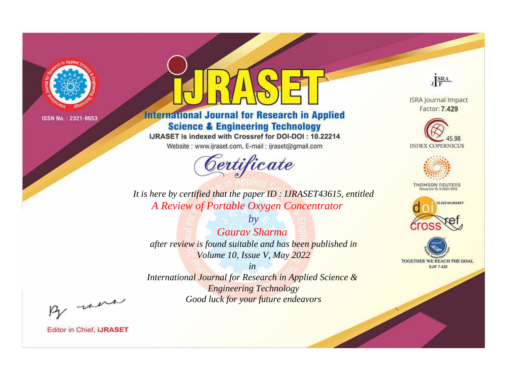

# **International Journal for Research in Applied Science & Engineering Technology**

IJRASET is indexed with Crossref for DOI-DOI: 10.22214

Website: www.ijraset.com, E-mail: ijraset@gmail.com



JERA

**ISRA Journal Impact** Factor: 7.429





**THOMSON REUTERS** 



TOGETHER WE REACH THE GOAL **SJIF 7.429** 

*It is here by certified that the paper ID : IJRASET43615, entitled A Review of Portable Oxygen Concentrator*

*by Gaurav Sharma after review is found suitable and has been published in Volume 10, Issue V, May 2022*

*in* 

*International Journal for Research in Applied Science & Engineering Technology Good luck for your future endeavors*

By morn